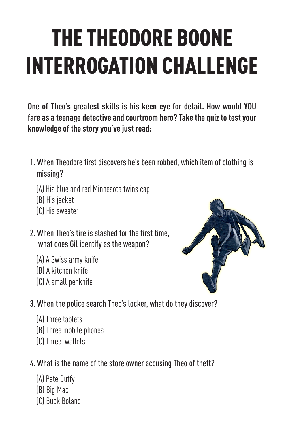# THE THEODORE BOONE INTERROGATION CHALLENGE

**One of Theo's greatest skills is his keen eye for detail. How would YOU fare as a teenage detective and courtroom hero? Take the quiz to test your knowledge of the story you've just read:**

- 1. When Theodore first discovers he's been robbed, which item of clothing is missing?
	- (A) His blue and red Minnesota twins cap
	- (B) His jacket
	- (C) His sweater
- 2. When Theo's tire is slashed for the first time, what does Gil identify as the weapon?
	- (A) A Swiss army knife
	- (B) A kitchen knife
	- (C) A small penknife



- 3. When the police search Theo's locker, what do they discover?
	- (A) Three tablets
	- (B) Three mobile phones
	- (C) Three wallets
- 4. What is the name of the store owner accusing Theo of theft?
	- (A) Pete Duffy
	- (B) Big Mac
	- (C) Buck Boland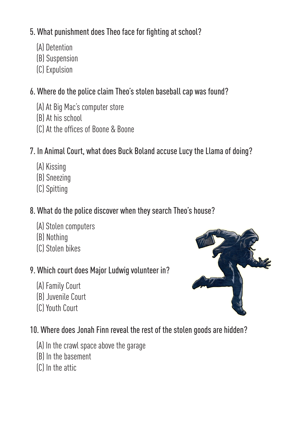#### 5. What punishment does Theo face for fighting at school?

- (A) Detention
- (B) Suspension
- (C) Expulsion

### 6. Where do the police claim Theo's stolen baseball cap was found?

- (A) At Big Mac's computer store
- (B) At his school
- (C) At the offices of Boone & Boone

### 7. In Animal Court, what does Buck Boland accuse Lucy the Llama of doing?

- (A) Kissing
- (B) Sneezing
- (C) Spitting

#### 8. What do the police discover when they search Theo's house?

- (A) Stolen computers
- (B) Nothing
- (C) Stolen bikes

### 9. Which court does Major Ludwig volunteer in?

- (A) Family Court
- (B) Juvenile Court
- (C) Youth Court

#### 10. Where does Jonah Finn reveal the rest of the stolen goods are hidden?

- (A) In the crawl space above the garage
- (B) In the basement
- (C) In the attic